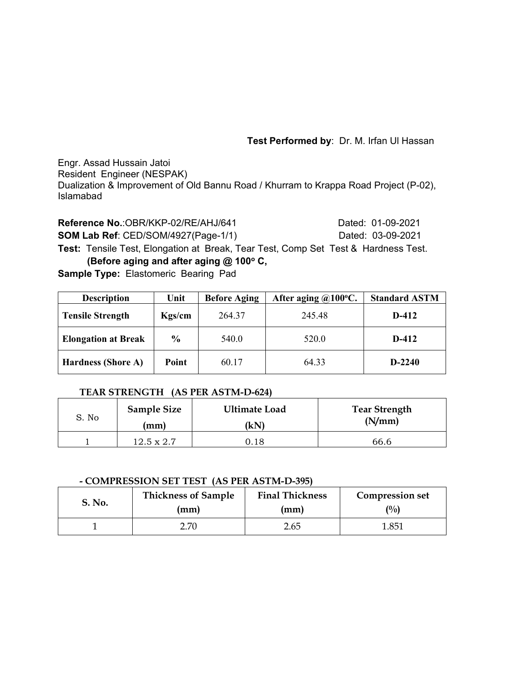**Test Performed by**: Dr. M. Irfan Ul Hassan

Engr. Assad Hussain Jatoi Resident Engineer (NESPAK) Dualization & Improvement of Old Bannu Road / Khurram to Krappa Road Project (P-02), Islamabad

**Reference No.:OBR/KKP-02/RE/AHJ/641 Dated: 01-09-2021 SOM Lab Ref**: CED/SOM/4927(Page-1/1) Dated: 03-09-2021 **Test:** Tensile Test, Elongation at Break, Tear Test, Comp Set Test & Hardness Test. **(Before aging and after aging @ 100° C, Sample Type:** Elastomeric Bearing Pad

| <b>Description</b>         | Unit          | <b>Before Aging</b> | After aging $@100°C$ . | <b>Standard ASTM</b> |
|----------------------------|---------------|---------------------|------------------------|----------------------|
| <b>Tensile Strength</b>    | Kgs/cm        | 264.37              | 245.48                 | $D-412$              |
| <b>Elongation at Break</b> | $\frac{6}{6}$ | 540.0               | 520.0                  | $D-412$              |
| <b>Hardness (Shore A)</b>  | Point         | 60.17               | 64.33                  | $D-2240$             |

### **TEAR STRENGTH (AS PER ASTM-D-624)**

| S. No | <b>Sample Size</b> | <b>Ultimate Load</b> | <b>Tear Strength</b> |  |  |
|-------|--------------------|----------------------|----------------------|--|--|
|       | (mm)               | (kN)                 | (N/mm)               |  |  |
|       | $12.5 \times 2.7$  | 0.18                 | 66.6                 |  |  |

### **- COMPRESSION SET TEST (AS PER ASTM-D-395)**

| S. No. | <b>Thickness of Sample</b> | <b>Final Thickness</b> | <b>Compression set</b> |
|--------|----------------------------|------------------------|------------------------|
|        | (mm)                       | (mm)                   | $($ %)                 |
|        |                            | 2.65                   | 1.851                  |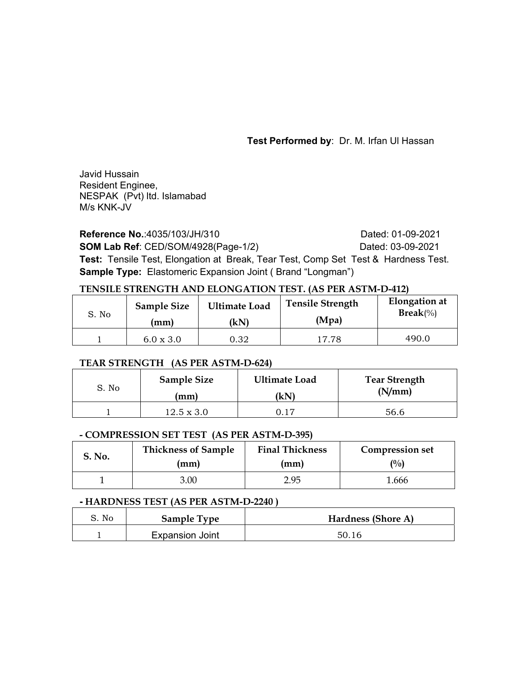**Test Performed by**: Dr. M. Irfan Ul Hassan

Javid Hussain Resident Enginee, NESPAK (Pvt) ltd. Islamabad M/s KNK-JV

**Reference No.:4035/103/JH/310** Dated: 01-09-2021 **SOM Lab Ref**: CED/SOM/4928(Page-1/2) Dated: 03-09-2021 **Test:** Tensile Test, Elongation at Break, Tear Test, Comp Set Test & Hardness Test. **Sample Type:** Elastomeric Expansion Joint ( Brand "Longman")

## **TENSILE STRENGTH AND ELONGATION TEST. (AS PER ASTM-D-412)**

| S. No | <b>Sample Size</b>     | <b>Ultimate Load</b> | <b>Tensile Strength</b> | Elongation at      |
|-------|------------------------|----------------------|-------------------------|--------------------|
|       | $\mathbf{m}\mathbf{m}$ | (kN)                 | (Mpa)                   | $\text{Break}(\%)$ |
|       | $6.0 \times 3.0$       | 0.32                 | 17.78                   | 490.0              |

### **TEAR STRENGTH (AS PER ASTM-D-624)**

| S. No | <b>Sample Size</b> | <b>Ultimate Load</b> | <b>Tear Strength</b> |  |  |  |
|-------|--------------------|----------------------|----------------------|--|--|--|
|       | (mm)               | (kN)                 | (N/mm)               |  |  |  |
|       | $12.5 \times 3.0$  | ገ 17                 | 56.6                 |  |  |  |

### **- COMPRESSION SET TEST (AS PER ASTM-D-395)**

| S. No. | <b>Thickness of Sample</b> | <b>Final Thickness</b> | <b>Compression set</b> |
|--------|----------------------------|------------------------|------------------------|
|        | (mm)                       | (mm)                   | (0/0)                  |
|        | 3.00                       | 2.95                   | 1.666                  |

### **- HARDNESS TEST (AS PER ASTM-D-2240 )**

| S. No | <b>Sample Type</b>     | Hardness (Shore A) |
|-------|------------------------|--------------------|
|       | <b>Expansion Joint</b> | 50.16              |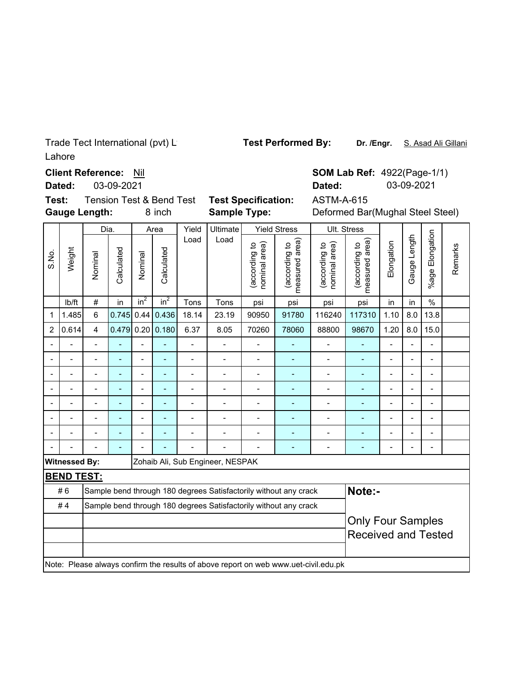Lahore Trade Tect International (pvt) L

**Client Reference: Nil** 

**Dated:** 03-09-2021

**Gauge Length: Test:**

**Sample Type:**

8 inch **Sample Type:** Deformed Bar(Mughal Steel Steel) **Dated:** 03-09-2021 Tension Test & Bend Test **Test Specification:** ASTM-A-615

**SOM Lab Ref: 4922(Page-1/1)** 

|                          |                      |                         |                |                |                |                |                                  |                                |                                                                                     | Ult. Stress                    |                                 |                          |                          |                          |         |
|--------------------------|----------------------|-------------------------|----------------|----------------|----------------|----------------|----------------------------------|--------------------------------|-------------------------------------------------------------------------------------|--------------------------------|---------------------------------|--------------------------|--------------------------|--------------------------|---------|
|                          |                      | Dia.                    |                |                | Area           | Yield          | Ultimate                         |                                | <b>Yield Stress</b>                                                                 |                                |                                 |                          |                          |                          |         |
| S.No.                    | Weight               | Nominal                 | Calculated     | Nominal        | Calculated     | Load           | Load                             | (according to<br>nominal area) | measured area)<br>(according to                                                     | (according to<br>nominal area) | measured area)<br>(according to | Elongation               | Gauge Length             | Elongation<br>%age l     | Remarks |
|                          | Ib/ft                | $\#$                    | in             | $in^2$         | $in^2$         | Tons           | Tons                             | psi                            | psi                                                                                 | psi                            | psi                             | in                       | in                       | $\frac{0}{0}$            |         |
| 1                        | 1.485                | 6                       | 0.745          | 0.44           | 0.436          | 18.14          | 23.19                            | 90950                          | 91780                                                                               | 116240                         | 117310                          | 1.10                     | 8.0                      | 13.8                     |         |
| $\overline{c}$           | 0.614                | $\overline{\mathbf{4}}$ | 0.479          |                | $0.20$ 0.180   | 6.37           | 8.05                             | 70260                          | 78060                                                                               | 88800                          | 98670                           | 1.20                     | 8.0                      | 15.0                     |         |
| $\overline{\phantom{a}}$ |                      | $\overline{a}$          | ÷              | $\overline{a}$ |                | $\overline{a}$ | $\overline{a}$                   | $\blacksquare$                 |                                                                                     | $\overline{a}$                 | L,                              | $\overline{\phantom{0}}$ | $\overline{a}$           | $\blacksquare$           |         |
| $\blacksquare$           |                      |                         |                |                | Ē,             | $\overline{a}$ | $\overline{a}$                   | $\overline{a}$                 |                                                                                     | $\overline{\phantom{0}}$       | ÷,                              | -                        | $\overline{\phantom{0}}$ | $\overline{\phantom{a}}$ |         |
| $\overline{\phantom{a}}$ |                      |                         |                | $\blacksquare$ | Ē,             | $\overline{a}$ |                                  | $\blacksquare$                 |                                                                                     | $\blacksquare$                 | ÷                               | $\overline{a}$           | $\overline{\phantom{a}}$ | $\blacksquare$           |         |
| $\overline{\phantom{a}}$ |                      |                         |                | $\blacksquare$ | $\blacksquare$ | $\overline{a}$ |                                  | $\blacksquare$                 | ÷                                                                                   | $\blacksquare$                 | ÷                               | $\overline{a}$           | $\blacksquare$           | $\blacksquare$           |         |
| $\blacksquare$           |                      |                         | ÷              | $\overline{a}$ | $\blacksquare$ | $\overline{a}$ |                                  | $\blacksquare$                 | ٠                                                                                   | $\overline{a}$                 | L,                              | $\overline{a}$           | $\blacksquare$           | $\blacksquare$           |         |
| $\overline{a}$           |                      | $\blacksquare$          | $\overline{a}$ | $\blacksquare$ | $\blacksquare$ | $\overline{a}$ | $\overline{a}$                   | $\blacksquare$                 | ٠                                                                                   | -                              | ÷                               | -                        | $\overline{\phantom{a}}$ | $\blacksquare$           |         |
| $\overline{a}$           |                      | $\overline{a}$          | ÷              |                |                |                | $\blacksquare$                   | $\overline{a}$                 |                                                                                     | -                              |                                 | -                        | $\overline{a}$           | $\blacksquare$           |         |
|                          |                      |                         | L,             |                |                |                |                                  | $\overline{a}$                 |                                                                                     | $\overline{\phantom{0}}$       |                                 | $\overline{a}$           | Ĭ.                       | $\blacksquare$           |         |
|                          | <b>Witnessed By:</b> |                         |                |                |                |                | Zohaib Ali, Sub Engineer, NESPAK |                                |                                                                                     |                                |                                 |                          |                          |                          |         |
|                          | <b>BEND TEST:</b>    |                         |                |                |                |                |                                  |                                |                                                                                     |                                |                                 |                          |                          |                          |         |
|                          | #6                   |                         |                |                |                |                |                                  |                                | Sample bend through 180 degrees Satisfactorily without any crack                    |                                | Note:-                          |                          |                          |                          |         |
|                          | #4                   |                         |                |                |                |                |                                  |                                | Sample bend through 180 degrees Satisfactorily without any crack                    |                                |                                 |                          |                          |                          |         |
|                          |                      |                         |                |                |                |                |                                  |                                |                                                                                     |                                |                                 | <b>Only Four Samples</b> |                          |                          |         |
|                          |                      |                         |                |                |                |                |                                  |                                |                                                                                     |                                | <b>Received and Tested</b>      |                          |                          |                          |         |
|                          |                      |                         |                |                |                |                |                                  |                                |                                                                                     |                                |                                 |                          |                          |                          |         |
|                          |                      |                         |                |                |                |                |                                  |                                | Note: Please always confirm the results of above report on web www.uet-civil.edu.pk |                                |                                 |                          |                          |                          |         |
|                          |                      |                         |                |                |                |                |                                  |                                |                                                                                     |                                |                                 |                          |                          |                          |         |

**Test Performed By:**

**Dr. /Engr.** S. Asad Ali Gillani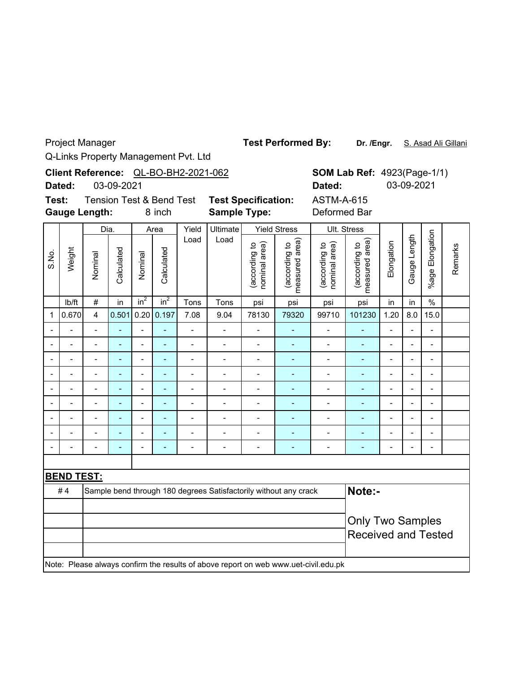Project Manager

**Dr. /Engr.** S. Asad Ali Gillani **Test Performed By:**

Q-Links Property Management Pvt. Ltd

|                              | Client Reference: QL-BO-BH2-2021-062<br>03-09-2021<br>Dated: |                          |                              |                                               |                 |                                                   |                                                                  |                                |                                   | Dated:                                                                              |                                 | <b>SOM Lab Ref: 4923(Page-1/1)</b><br>03-09-2021 |                |                          |         |
|------------------------------|--------------------------------------------------------------|--------------------------|------------------------------|-----------------------------------------------|-----------------|---------------------------------------------------|------------------------------------------------------------------|--------------------------------|-----------------------------------|-------------------------------------------------------------------------------------|---------------------------------|--------------------------------------------------|----------------|--------------------------|---------|
| Test:                        |                                                              | <b>Gauge Length:</b>     |                              | <b>Tension Test &amp; Bend Test</b><br>8 inch |                 | <b>Test Specification:</b><br><b>Sample Type:</b> |                                                                  |                                | <b>ASTM-A-615</b><br>Deformed Bar |                                                                                     |                                 |                                                  |                |                          |         |
|                              |                                                              | Dia.                     |                              |                                               | Area            | Yield                                             | Ultimate                                                         | <b>Yield Stress</b>            |                                   | Ult. Stress                                                                         |                                 |                                                  |                |                          |         |
| S.No.                        | Weight                                                       | Nominal                  | Calculated                   | Nominal                                       | Calculated      | Load                                              | Load                                                             | (according to<br>nominal area) | measured area)<br>(according to   | nominal area)<br>(according to                                                      | measured area)<br>(according to | Elongation                                       | Gauge Length   | %age Elongation          | Remarks |
|                              | Ib/ft                                                        | $\#$                     | in                           | $in^2$                                        | in <sup>2</sup> | Tons                                              | Tons                                                             | psi                            | psi                               | psi                                                                                 | psi                             | in                                               | in             | $\%$                     |         |
| $\mathbf{1}$                 | 0.670                                                        | $\overline{4}$           | 0.501                        | 0.20                                          | 0.197           | 7.08                                              | 9.04                                                             | 78130                          | 79320                             | 99710                                                                               | 101230                          | 1.20                                             | 8.0            | 15.0                     |         |
| $\overline{\phantom{a}}$     |                                                              | $\overline{a}$           | $\blacksquare$               | $\overline{\phantom{0}}$                      | $\blacksquare$  | $\overline{a}$                                    | $\frac{1}{2}$                                                    | $\overline{a}$                 | ÷,                                | $\overline{a}$                                                                      |                                 | $\overline{a}$                                   | $\overline{a}$ | $\overline{a}$           |         |
| $\blacksquare$               |                                                              |                          | $\overline{\phantom{0}}$     | $\overline{a}$                                | L.              |                                                   | $\overline{a}$                                                   | $\overline{a}$                 | L,                                | $\overline{a}$                                                                      | $\blacksquare$                  |                                                  |                |                          |         |
| $\blacksquare$               | Ĭ.                                                           | $\overline{a}$           | $\blacksquare$               | $\overline{a}$                                | $\blacksquare$  |                                                   | $\overline{a}$                                                   | $\overline{a}$                 | ä,                                | $\overline{a}$                                                                      | $\blacksquare$                  | Ĭ.                                               | $\overline{a}$ | L,                       |         |
| $\qquad \qquad \blacksquare$ | $\overline{a}$                                               | $\overline{\phantom{0}}$ | $\qquad \qquad \blacksquare$ | -                                             | ٠               | $\overline{\phantom{m}}$                          | $\overline{\phantom{m}}$                                         | $\overline{\phantom{0}}$       | ۰                                 | $\qquad \qquad \blacksquare$                                                        | $\blacksquare$                  | $\blacksquare$                                   | $\overline{a}$ | $\overline{\phantom{0}}$ |         |
|                              |                                                              |                          |                              | $\blacksquare$                                | ٠               |                                                   |                                                                  | $\overline{a}$                 | $\overline{a}$                    | $\overline{a}$                                                                      | $\overline{a}$                  |                                                  |                |                          |         |
|                              | ÷                                                            | $\overline{a}$           | $\blacksquare$               | $\overline{a}$                                | $\blacksquare$  | $\overline{a}$                                    | $\overline{\phantom{0}}$                                         | $\overline{a}$                 | ÷,                                | $\blacksquare$                                                                      | ÷,                              | Ĭ.                                               | $\overline{a}$ | L,                       |         |
|                              |                                                              | $\overline{a}$           |                              | $\overline{a}$                                |                 | $\overline{\phantom{0}}$                          | $\overline{a}$                                                   | $\overline{a}$                 | L,                                | $\overline{a}$                                                                      | Ē,                              | Ĭ.                                               | $\overline{a}$ | L,                       |         |
|                              |                                                              |                          |                              | $\overline{a}$                                | $\blacksquare$  |                                                   | $\overline{a}$                                                   | $\overline{a}$                 | ä,                                | $\overline{a}$                                                                      | $\overline{\phantom{a}}$        |                                                  | ÷              | $\blacksquare$           |         |
|                              |                                                              | $\overline{a}$           | $\overline{a}$               | $\overline{a}$                                | L,              | $\overline{a}$                                    | $\blacksquare$                                                   | $\frac{1}{2}$                  | ÷,                                | $\overline{a}$                                                                      | $\blacksquare$                  |                                                  | L.             | L,                       |         |
|                              |                                                              |                          |                              |                                               |                 |                                                   |                                                                  |                                |                                   |                                                                                     |                                 |                                                  |                |                          |         |
|                              | <b>BEND TEST:</b>                                            |                          |                              |                                               |                 |                                                   |                                                                  |                                |                                   |                                                                                     |                                 |                                                  |                |                          |         |
|                              | #4                                                           |                          |                              |                                               |                 |                                                   | Sample bend through 180 degrees Satisfactorily without any crack |                                |                                   |                                                                                     | Note:-                          |                                                  |                |                          |         |
|                              |                                                              |                          |                              |                                               |                 |                                                   |                                                                  |                                |                                   |                                                                                     |                                 |                                                  |                |                          |         |
|                              |                                                              |                          |                              |                                               |                 |                                                   |                                                                  |                                |                                   |                                                                                     | <b>Only Two Samples</b>         |                                                  |                |                          |         |
|                              |                                                              |                          |                              |                                               |                 |                                                   |                                                                  |                                |                                   |                                                                                     | <b>Received and Tested</b>      |                                                  |                |                          |         |
|                              |                                                              |                          |                              |                                               |                 |                                                   |                                                                  |                                |                                   | Note: Please always confirm the results of above report on web www.uet-civil.edu.pk |                                 |                                                  |                |                          |         |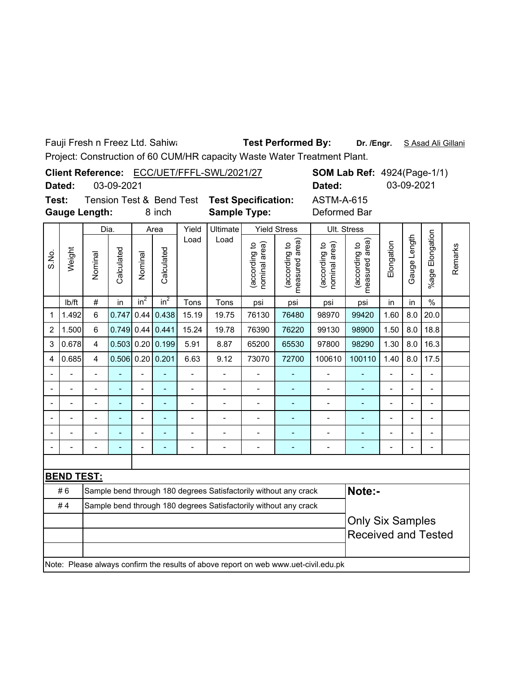Fauji Fresh n Freez Ltd. Sahiwa

# **Dr. /Engr.** S Asad Ali Gillani **Test Performed By:**

Project: Construction of 60 CUM/HR capacity Waste Water Treatment Plant.

|       |        |                      |        | <b>SOM Lab Ref: 4924(Page-1/1)</b><br>Client Reference: ECC/UET/FFFL-SWL/2021/27 |                                              |              |  |            |  |
|-------|--------|----------------------|--------|----------------------------------------------------------------------------------|----------------------------------------------|--------------|--|------------|--|
|       | Dated: | 03-09-2021           |        |                                                                                  | Dated:                                       |              |  | 03-09-2021 |  |
| Test: |        |                      |        |                                                                                  | Tension Test & Bend Test Test Specification: | ASTM-A-615   |  |            |  |
|       |        | <b>Gauge Length:</b> | 8 inch | <b>Sample Type:</b>                                                              |                                              | Deformed Bar |  |            |  |
|       |        | Dia.                 | Area   | Yield Ultimate                                                                   | Yield Stress                                 | Ult. Stress  |  |            |  |

|       |                   | Dia.                    |            |                | Area                     | Yield          | Ultimate                 |                                | <b>Yield Stress</b>                                                                 |                                   | Ult. Stress                        |                |                          |                          |         |
|-------|-------------------|-------------------------|------------|----------------|--------------------------|----------------|--------------------------|--------------------------------|-------------------------------------------------------------------------------------|-----------------------------------|------------------------------------|----------------|--------------------------|--------------------------|---------|
| S.No. | Weight            | Nominal                 | Calculated | Nominal        | Calculated               | Load           | Load                     | nominal area)<br>(according to | area)<br>(according to<br>measured                                                  | (according to<br>area)<br>nominal | area)<br>(according to<br>measured | Elongation     | Gauge Length             | Elongation<br>$%$ age    | Remarks |
|       | lb/ft             | $\#$                    | in         | $in^2$         | $in^2$                   | Tons           | Tons                     | psi                            | psi                                                                                 | psi                               | psi                                | in             | in                       | $\frac{0}{0}$            |         |
| 1     | 1.492             | 6                       | 0.747      | 0.44           | 0.438                    | 15.19          | 19.75                    | 76130                          | 76480                                                                               | 98970                             | 99420                              | 1.60           | 8.0                      | 20.0                     |         |
| 2     | 1.500             | 6                       | 0.749      | 0.44           | 0.441                    | 15.24          | 19.78                    | 76390                          | 76220                                                                               | 99130                             | 98900                              | 1.50           | 8.0                      | 18.8                     |         |
| 3     | 0.678             | $\overline{\mathbf{4}}$ | 0.503      | 0.20           | 0.199                    | 5.91           | 8.87                     | 65200                          | 65530                                                                               | 97800                             | 98290                              | 1.30           | 8.0                      | 16.3                     |         |
| 4     | 0.685             | $\overline{4}$          |            |                | $0.506$ 0.20 0.201       | 6.63           | 9.12                     | 73070                          | 72700                                                                               | 100610                            | 100110                             | 1.40           | 8.0                      | 17.5                     |         |
|       |                   |                         |            |                |                          |                |                          |                                |                                                                                     |                                   |                                    |                | $\blacksquare$           |                          |         |
|       |                   |                         |            | $\overline{a}$ | L,                       | $\overline{a}$ | $\overline{\phantom{0}}$ |                                |                                                                                     | $\overline{a}$                    | $\blacksquare$                     | $\blacksquare$ | $\overline{\phantom{a}}$ | $\overline{\phantom{0}}$ |         |
|       | $\blacksquare$    | $\overline{a}$          | ÷          | $\overline{a}$ | $\overline{\phantom{a}}$ | $\overline{a}$ | $\overline{\phantom{0}}$ | Ĭ.                             | ÷                                                                                   | $\overline{\phantom{0}}$          | ٠                                  | -              | $\overline{\phantom{a}}$ | $\overline{a}$           |         |
|       |                   | $\overline{a}$          | ÷          | $\overline{a}$ | $\overline{\phantom{a}}$ | $\blacksquare$ | -                        | ÷                              |                                                                                     | $\blacksquare$                    | $\qquad \qquad \blacksquare$       | $\blacksquare$ | $\overline{\phantom{m}}$ | Ξ.                       |         |
|       |                   |                         |            |                |                          |                |                          | ۰                              | ۳                                                                                   |                                   | ÷                                  |                |                          | $\overline{a}$           |         |
|       |                   |                         |            | $\blacksquare$ |                          |                |                          |                                |                                                                                     |                                   |                                    |                |                          | $\blacksquare$           |         |
|       |                   |                         |            |                |                          |                |                          |                                |                                                                                     |                                   |                                    |                |                          |                          |         |
|       | <b>BEND TEST:</b> |                         |            |                |                          |                |                          |                                |                                                                                     |                                   |                                    |                |                          |                          |         |
|       | #6                |                         |            |                |                          |                |                          |                                | Sample bend through 180 degrees Satisfactorily without any crack                    |                                   | Note:-                             |                |                          |                          |         |
|       | #4                |                         |            |                |                          |                |                          |                                | Sample bend through 180 degrees Satisfactorily without any crack                    |                                   |                                    |                |                          |                          |         |
|       |                   |                         |            |                |                          |                | <b>Only Six Samples</b>  |                                |                                                                                     |                                   |                                    |                |                          |                          |         |
|       |                   |                         |            |                |                          |                |                          |                                |                                                                                     |                                   | <b>Received and Tested</b>         |                |                          |                          |         |
|       |                   |                         |            |                |                          |                |                          |                                |                                                                                     |                                   |                                    |                |                          |                          |         |
|       |                   |                         |            |                |                          |                |                          |                                | Note: Please always confirm the results of above report on web www.uet-civil.edu.pk |                                   |                                    |                |                          |                          |         |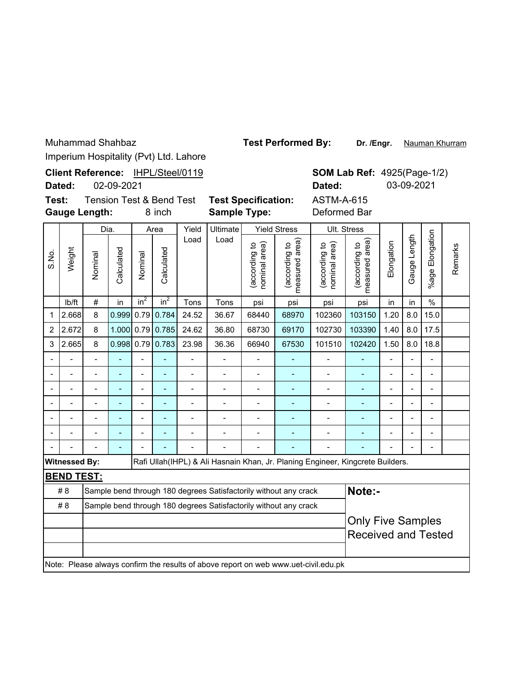**Dr. /Engr.** Nauman Khurram **Test Performed By:**

Imperium Hospitality (Pvt) Ltd. Lahore

|                                                                                | Imperium Hospitality (PVt) Ltd. Lanore                                                                                  |                       |                |                          |                 |                |                                                                  |                                 |                                |                                                                                     |                              |                            |                 |                          |  |  |
|--------------------------------------------------------------------------------|-------------------------------------------------------------------------------------------------------------------------|-----------------------|----------------|--------------------------|-----------------|----------------|------------------------------------------------------------------|---------------------------------|--------------------------------|-------------------------------------------------------------------------------------|------------------------------|----------------------------|-----------------|--------------------------|--|--|
|                                                                                | Client Reference: IHPL/Steel/0119<br><b>SOM Lab Ref: 4925(Page-1/2)</b><br>02-09-2021<br>03-09-2021<br>Dated:<br>Dated: |                       |                |                          |                 |                |                                                                  |                                 |                                |                                                                                     |                              |                            |                 |                          |  |  |
| Test:<br><b>Tension Test &amp; Bend Test</b><br><b>Gauge Length:</b><br>8 inch |                                                                                                                         |                       |                |                          |                 |                | <b>Test Specification:</b><br><b>Sample Type:</b>                |                                 |                                | <b>ASTM-A-615</b><br>Deformed Bar                                                   |                              |                            |                 |                          |  |  |
|                                                                                |                                                                                                                         |                       | Dia.           |                          | Area            | Yield          | Ultimate                                                         |                                 | <b>Yield Stress</b>            | Ult. Stress                                                                         |                              |                            |                 |                          |  |  |
| S.N.S                                                                          | Weight                                                                                                                  | Calculated<br>Nominal | Nominal        | Calculated               | Load            | Load           | (according to<br>nominal area)                                   | (according to<br>measured area) | (according to<br>nominal area) | (according to<br>measured area)                                                     | Elongation                   | Gauge Length               | %age Elongation | Remarks                  |  |  |
|                                                                                | lb/ft                                                                                                                   | $\#$                  | in             | in <sup>2</sup>          | in <sup>2</sup> | Tons           | Tons                                                             | psi                             | psi                            | psi                                                                                 | psi                          | in                         | in              | $\frac{0}{0}$            |  |  |
| 1                                                                              | 2.668                                                                                                                   | 8                     | 0.999          | 0.79                     | 0.784           | 24.52          | 36.67                                                            | 68440                           | 68970                          | 102360                                                                              | 103150                       | 1.20                       | 8.0             | 15.0                     |  |  |
| $\overline{2}$                                                                 | 2.672                                                                                                                   | 8                     | 1.000          |                          | $0.79$ 0.785    | 24.62          | 36.80                                                            | 68730                           | 69170                          | 102730                                                                              | 103390                       | 1.40                       | 8.0             | 17.5                     |  |  |
| 3                                                                              | 2.665                                                                                                                   | 8                     | 0.998          |                          | $0.79$ 0.783    | 23.98          | 36.36                                                            | 66940                           | 67530                          | 101510                                                                              | 102420                       | 1.50                       | 8.0             | 18.8                     |  |  |
|                                                                                |                                                                                                                         |                       |                | $\overline{a}$           |                 |                |                                                                  |                                 |                                |                                                                                     |                              |                            |                 |                          |  |  |
|                                                                                | L,                                                                                                                      |                       | ä,             | $\overline{a}$           | $\overline{a}$  |                | $\overline{a}$                                                   | L.                              | L,                             | $\overline{a}$                                                                      | L,                           | $\overline{a}$             | L,              | L.                       |  |  |
|                                                                                | ÷                                                                                                                       | $\blacksquare$        | $\overline{a}$ | $\overline{\phantom{0}}$ | ÷,              | $\overline{a}$ | $\overline{\phantom{0}}$                                         | $\overline{\phantom{a}}$        | ÷,                             | $\overline{\phantom{0}}$                                                            | ۰                            | -                          | $\blacksquare$  | $\blacksquare$           |  |  |
|                                                                                |                                                                                                                         |                       |                |                          |                 |                |                                                                  |                                 | L,                             | $\overline{a}$                                                                      |                              |                            |                 |                          |  |  |
|                                                                                | $\blacksquare$                                                                                                          | $\overline{a}$        | ÷,             | $\overline{\phantom{0}}$ | ÷,              | $\overline{a}$ | $\overline{\phantom{0}}$                                         | $\overline{a}$                  | ÷,                             | $\overline{\phantom{m}}$                                                            | $\qquad \qquad \blacksquare$ | -                          | $\overline{a}$  | $\blacksquare$           |  |  |
|                                                                                |                                                                                                                         |                       |                |                          |                 |                |                                                                  |                                 |                                |                                                                                     |                              |                            |                 |                          |  |  |
|                                                                                |                                                                                                                         |                       | ä,             |                          |                 |                |                                                                  |                                 |                                |                                                                                     |                              |                            |                 | $\overline{\phantom{0}}$ |  |  |
|                                                                                | <b>Witnessed By:</b>                                                                                                    |                       |                |                          |                 |                |                                                                  |                                 |                                | Rafi Ullah(IHPL) & Ali Hasnain Khan, Jr. Planing Engineer, Kingcrete Builders.      |                              |                            |                 |                          |  |  |
|                                                                                | <b>BEND TEST:</b>                                                                                                       |                       |                |                          |                 |                |                                                                  |                                 |                                |                                                                                     |                              |                            |                 |                          |  |  |
|                                                                                | #8                                                                                                                      |                       |                |                          |                 |                | Sample bend through 180 degrees Satisfactorily without any crack |                                 |                                |                                                                                     | Note:-                       |                            |                 |                          |  |  |
|                                                                                | #8                                                                                                                      |                       |                |                          |                 |                | Sample bend through 180 degrees Satisfactorily without any crack |                                 |                                |                                                                                     |                              |                            |                 |                          |  |  |
|                                                                                |                                                                                                                         |                       |                |                          |                 |                |                                                                  |                                 |                                |                                                                                     | <b>Only Five Samples</b>     |                            |                 |                          |  |  |
|                                                                                |                                                                                                                         |                       |                |                          |                 |                |                                                                  |                                 |                                |                                                                                     |                              | <b>Received and Tested</b> |                 |                          |  |  |
|                                                                                |                                                                                                                         |                       |                |                          |                 |                |                                                                  |                                 |                                | Note: Please always confirm the results of above report on web www.uet-civil.edu.pk |                              |                            |                 |                          |  |  |
|                                                                                |                                                                                                                         |                       |                |                          |                 |                |                                                                  |                                 |                                |                                                                                     |                              |                            |                 |                          |  |  |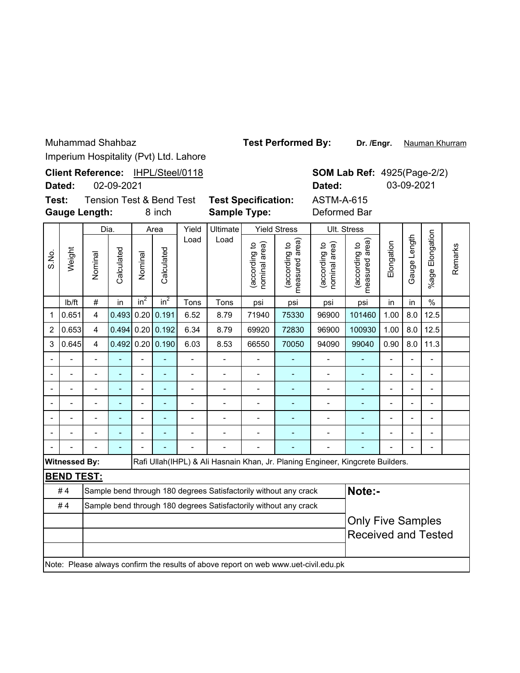| Muhammad Shahbaz |
|------------------|
|                  |

**Dr. /Engr.** Nauman Khurram **Test Performed By:**

Imperium Hospitality (Pvt) Ltd. Lahore

| - <del>.</del> .               |                      |                         |            |                 |                                     |                                   |                                                                                     |                                |                                 |                                |                                    |                |              |                       |         |
|--------------------------------|----------------------|-------------------------|------------|-----------------|-------------------------------------|-----------------------------------|-------------------------------------------------------------------------------------|--------------------------------|---------------------------------|--------------------------------|------------------------------------|----------------|--------------|-----------------------|---------|
|                                | Dated:               |                         | 02-09-2021 |                 |                                     | Client Reference: IHPL/Steel/0118 |                                                                                     |                                |                                 | Dated:                         | <b>SOM Lab Ref: 4925(Page-2/2)</b> |                | 03-09-2021   |                       |         |
| Test:                          |                      |                         |            |                 | <b>Tension Test &amp; Bend Test</b> |                                   | <b>Test Specification:</b>                                                          |                                | <b>ASTM-A-615</b>               |                                |                                    |                |              |                       |         |
| <b>Gauge Length:</b><br>8 inch |                      |                         |            |                 |                                     |                                   | <b>Sample Type:</b>                                                                 |                                | Deformed Bar                    |                                |                                    |                |              |                       |         |
|                                |                      | Dia.                    |            | Area            |                                     | Yield                             | Ultimate                                                                            |                                | <b>Yield Stress</b>             |                                | Ult. Stress                        |                |              |                       |         |
| S.No.                          | Weight               | Nominal                 | Calculated | Nominal         | Calculated                          | Load                              | Load                                                                                | (according to<br>nominal area) | measured area)<br>(according to | nominal area)<br>(according to | measured area)<br>(according to    | Elongation     | Gauge Length | Elongation<br>$%$ age | Remarks |
|                                | Ib/ft                | $\#$                    | in         | in <sup>2</sup> | $in^2$                              | Tons                              | Tons                                                                                | psi                            | psi                             | psi                            | psi                                | in             | in           | $\%$                  |         |
| $\mathbf 1$                    | 0.651                | $\overline{4}$          | 0.493      | 0.20            | 0.191                               | 6.52                              | 8.79                                                                                | 71940                          | 75330                           | 96900                          | 101460                             | 1.00           | 8.0          | 12.5                  |         |
| $\overline{2}$                 | 0.653                | $\overline{\mathbf{4}}$ | 0.494      | 0.20            | 0.192                               | 6.34                              | 8.79                                                                                | 69920                          | 72830                           | 96900                          | 100930                             | 1.00           | 8.0          | 12.5                  |         |
| 3                              | 0.645                | 4                       | 0.492      | 0.20            | 0.190                               | 6.03                              | 8.53                                                                                | 66550                          | 70050                           | 94090                          | 99040                              | 0.90           | 8.0          | 11.3                  |         |
|                                |                      |                         |            |                 |                                     |                                   |                                                                                     |                                |                                 |                                |                                    |                |              |                       |         |
| -                              |                      | $\overline{a}$          | ä,         | $\overline{a}$  | ÷,                                  | $\overline{\phantom{0}}$          | -                                                                                   | $\overline{\phantom{0}}$       | ۰                               | $\qquad \qquad \blacksquare$   |                                    | $\overline{a}$ |              |                       |         |
|                                |                      | $\blacksquare$          |            |                 | ä,                                  | $\overline{a}$                    | $\overline{\phantom{0}}$                                                            | $\overline{\phantom{0}}$       | ٠                               | $\overline{a}$                 |                                    | $\overline{a}$ |              |                       |         |
|                                |                      |                         |            |                 |                                     |                                   |                                                                                     |                                |                                 | $\blacksquare$                 |                                    |                |              |                       |         |
|                                |                      |                         |            |                 | ä,                                  | $\overline{a}$                    | -                                                                                   | $\overline{\phantom{0}}$       | ٠                               | $\overline{\phantom{a}}$       |                                    |                |              |                       |         |
|                                |                      |                         |            |                 |                                     |                                   |                                                                                     | $\overline{\phantom{0}}$       |                                 |                                |                                    |                |              |                       |         |
|                                |                      |                         |            |                 |                                     |                                   |                                                                                     |                                |                                 |                                |                                    |                |              |                       |         |
|                                | <b>Witnessed By:</b> |                         |            |                 |                                     |                                   | Rafi Ullah(IHPL) & Ali Hasnain Khan, Jr. Planing Engineer, Kingcrete Builders.      |                                |                                 |                                |                                    |                |              |                       |         |
|                                | <b>BEND TEST:</b>    |                         |            |                 |                                     |                                   |                                                                                     |                                |                                 |                                |                                    |                |              |                       |         |
|                                | #4                   |                         |            |                 |                                     |                                   | Sample bend through 180 degrees Satisfactorily without any crack                    |                                |                                 |                                | Note:-                             |                |              |                       |         |
|                                | #4                   |                         |            |                 |                                     |                                   | Sample bend through 180 degrees Satisfactorily without any crack                    |                                |                                 |                                |                                    |                |              |                       |         |
|                                |                      |                         |            |                 |                                     |                                   |                                                                                     |                                |                                 | <b>Only Five Samples</b>       |                                    |                |              |                       |         |
|                                |                      |                         |            |                 |                                     |                                   |                                                                                     |                                | <b>Received and Tested</b>      |                                |                                    |                |              |                       |         |
|                                |                      |                         |            |                 |                                     |                                   | Note: Please always confirm the results of above report on web www.uet-civil.edu.pk |                                |                                 |                                |                                    |                |              |                       |         |
|                                |                      |                         |            |                 |                                     |                                   |                                                                                     |                                |                                 |                                |                                    |                |              |                       |         |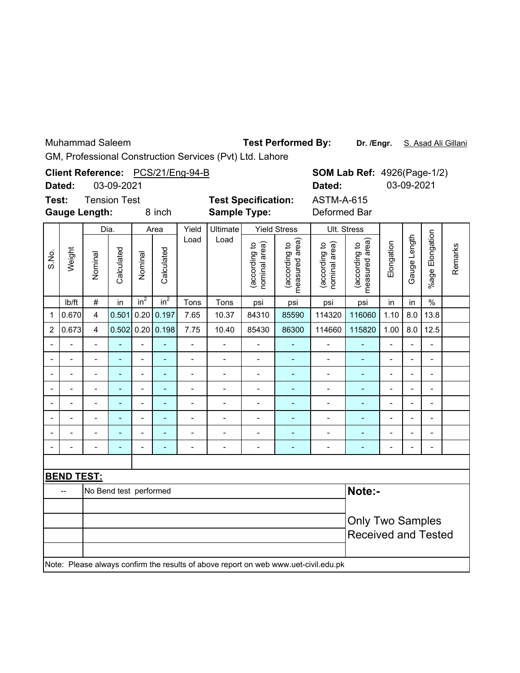Muhammad Saleem

Test Performed By: Dr. /Engr. S. Asad Ali Gillani

GM, Professional Construction Services (Pvt) Ltd. Lahore

|       |                          |                          |            |                 |                          | Client Reference: PCS/21/Eng-94-B |                              |                                |                                 |                                                                                     |                                 | <b>SOM Lab Ref: 4926(Page-1/2)</b> |                          |                              |         |
|-------|--------------------------|--------------------------|------------|-----------------|--------------------------|-----------------------------------|------------------------------|--------------------------------|---------------------------------|-------------------------------------------------------------------------------------|---------------------------------|------------------------------------|--------------------------|------------------------------|---------|
|       | Dated:                   |                          | 03-09-2021 |                 |                          |                                   |                              |                                | Dated:                          |                                                                                     |                                 | 03-09-2021                         |                          |                              |         |
| Test: |                          | <b>Tension Test</b>      |            |                 |                          |                                   | <b>Test Specification:</b>   |                                |                                 | <b>ASTM-A-615</b>                                                                   |                                 |                                    |                          |                              |         |
|       | <b>Gauge Length:</b>     |                          |            |                 | 8 inch                   |                                   | <b>Sample Type:</b>          |                                |                                 | Deformed Bar                                                                        |                                 |                                    |                          |                              |         |
|       |                          | Dia.                     |            |                 | Area                     | Yield                             | Ultimate                     |                                | <b>Yield Stress</b>             |                                                                                     | Ult. Stress                     |                                    |                          |                              |         |
| S.No. | Weight                   | Nominal                  | Calculated | Nominal         | Calculated               | Load                              | Load                         | (according to<br>nominal area) | measured area)<br>(according to | (according to<br>nominal area)                                                      | measured area)<br>(according to | Elongation                         | Gauge Length             | %age Elongation              | Remarks |
|       | lb/ft                    | $\#$                     | in         | in <sup>2</sup> | in <sup>2</sup>          | Tons                              | Tons                         | psi                            | psi                             | psi                                                                                 | psi                             | in                                 | in                       | $\%$                         |         |
| 1     | 0.670                    | $\overline{\mathbf{4}}$  | 0.501      | 0.20            | 0.197                    | 7.65                              | 10.37                        | 84310                          | 85590                           | 114320                                                                              | 116060                          | 1.10                               | 8.0                      | 13.8                         |         |
| 2     | 0.673                    | $\overline{4}$           | 0.502      |                 | 0.20   0.198             | 7.75                              | 10.40                        | 85430                          | 86300                           | 114660                                                                              | 115820                          | 1.00                               | 8.0                      | 12.5                         |         |
|       |                          | $\overline{a}$           |            |                 |                          | $\overline{a}$                    |                              |                                |                                 | $\overline{a}$                                                                      | L,                              | $\overline{a}$                     | $\blacksquare$           | $\overline{a}$               |         |
|       |                          | $\overline{a}$           |            | $\overline{a}$  | ä,                       | $\overline{\phantom{0}}$          | $\overline{\phantom{0}}$     | $\overline{\phantom{a}}$       |                                 | $\frac{1}{2}$                                                                       | ÷,                              | $\overline{a}$                     | $\overline{a}$           | $\overline{\phantom{0}}$     |         |
|       | $\overline{\phantom{m}}$ | $\overline{\phantom{0}}$ |            | -               | $\overline{\phantom{m}}$ | $\qquad \qquad \blacksquare$      | $\qquad \qquad \blacksquare$ | $\qquad \qquad \blacksquare$   | ۰                               | $\overline{\phantom{0}}$                                                            | ÷                               | $\overline{\phantom{0}}$           | $\blacksquare$           | $\qquad \qquad \blacksquare$ |         |
|       |                          |                          |            | $\blacksquare$  | $\overline{\phantom{a}}$ | $\overline{a}$                    |                              | $\blacksquare$                 | $\overline{\phantom{a}}$        | $\qquad \qquad \blacksquare$                                                        | ۰                               | $\overline{a}$                     |                          | $\blacksquare$               |         |
|       |                          | $\overline{a}$           |            | $\overline{a}$  | $\blacksquare$           | $\overline{a}$                    | $\overline{a}$               | Ξ.                             | $\blacksquare$                  | $\overline{\phantom{0}}$                                                            | ÷,                              | $\overline{\phantom{0}}$           | ÷                        | $\overline{a}$               |         |
|       |                          | $\overline{a}$           |            | $\overline{a}$  | ÷,                       | $\overline{\phantom{0}}$          | $\overline{a}$               | $\overline{\phantom{0}}$       | ÷,                              | $\qquad \qquad \blacksquare$                                                        | $\blacksquare$                  | $\overline{a}$                     | $\overline{a}$           | $\overline{a}$               |         |
|       |                          |                          |            | $\overline{a}$  |                          | $\overline{a}$                    |                              | $\overline{a}$                 |                                 | $\overline{\phantom{0}}$                                                            | ÷,                              | $\overline{\phantom{0}}$           |                          | $\overline{a}$               |         |
|       |                          | $\overline{a}$           |            | $\overline{a}$  | L,                       | -                                 | -                            | Ξ.                             | Ξ.                              | $\overline{\phantom{0}}$                                                            | ۰                               | $\overline{a}$                     | $\overline{\phantom{a}}$ | $\frac{1}{2}$                |         |
|       |                          |                          |            |                 |                          |                                   |                              |                                |                                 |                                                                                     |                                 |                                    |                          |                              |         |
|       | <b>BEND TEST:</b>        |                          |            |                 |                          |                                   |                              |                                |                                 |                                                                                     |                                 |                                    |                          |                              |         |
|       | ш,                       | No Bend test performed   |            |                 |                          |                                   |                              |                                |                                 |                                                                                     | Note:-                          |                                    |                          |                              |         |
|       |                          |                          |            |                 |                          |                                   |                              |                                |                                 |                                                                                     |                                 |                                    |                          |                              |         |
|       |                          |                          |            |                 |                          |                                   |                              |                                |                                 | <b>Only Two Samples</b>                                                             |                                 |                                    |                          |                              |         |
|       |                          |                          |            |                 |                          |                                   |                              |                                |                                 |                                                                                     | <b>Received and Tested</b>      |                                    |                          |                              |         |
|       |                          |                          |            |                 |                          |                                   |                              |                                |                                 | Note: Please always confirm the results of above report on web www.uet-civil.edu.pk |                                 |                                    |                          |                              |         |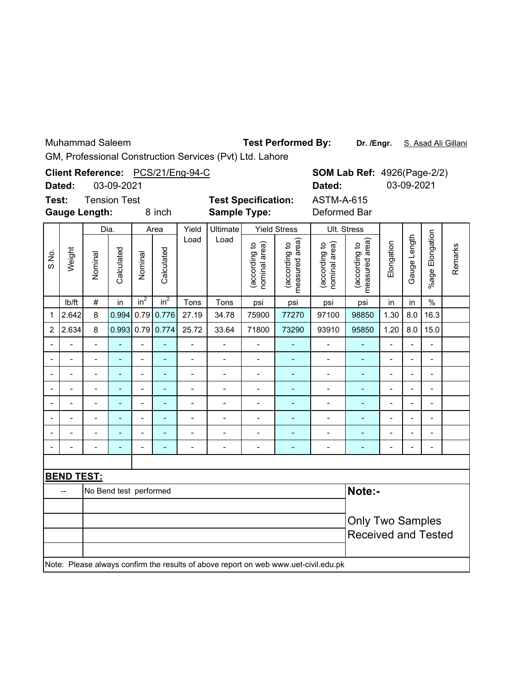Muhammad Saleem

Test Performed By: Dr. /Engr. S. Asad Ali Gillani

GM, Professional Construction Services (Pvt) Ltd. Lahore

|                                                                | Dated:                   |                | 03-09-2021 |                          |                 | Client Reference: PCS/21/Eng-94-C |                                                   |                                | Dated:                          | <b>SOM Lab Ref: 4926(Page-2/2)</b><br>03-09-2021                                    |                                                       |                          |                |                          |         |
|----------------------------------------------------------------|--------------------------|----------------|------------|--------------------------|-----------------|-----------------------------------|---------------------------------------------------|--------------------------------|---------------------------------|-------------------------------------------------------------------------------------|-------------------------------------------------------|--------------------------|----------------|--------------------------|---------|
| Test:<br><b>Tension Test</b><br><b>Gauge Length:</b><br>8 inch |                          |                |            |                          |                 |                                   | <b>Test Specification:</b><br><b>Sample Type:</b> |                                |                                 | <b>ASTM-A-615</b><br>Deformed Bar                                                   |                                                       |                          |                |                          |         |
|                                                                |                          | Dia.           |            |                          | Area            | Yield                             | Ultimate                                          |                                | <b>Yield Stress</b>             |                                                                                     | Ult. Stress                                           |                          |                |                          |         |
| S.No.                                                          | Weight                   | Nominal        | Calculated | Nominal                  | Calculated      | Load                              | Load                                              | (according to<br>nominal area) | measured area)<br>(according to | nominal area)<br>(according to                                                      | measured area)<br>(according to                       | Elongation               | Gauge Length   | Elongation<br>%age I     | Remarks |
|                                                                | lb/ft                    | $\#$           | in         | $in^2$                   | in <sup>2</sup> | Tons                              | Tons                                              | psi                            | psi                             | psi                                                                                 | psi                                                   | in                       | in             | $\frac{0}{0}$            |         |
| 1                                                              | 2.642                    | 8              | 0.994      | 0.79                     | 0.776           | 27.19                             | 34.78                                             | 75900                          | 77270                           | 97100                                                                               | 98850                                                 | 1.30                     | 8.0            | 16.3                     |         |
| $\overline{2}$                                                 | 2.634                    | 8              | 0.993      | 0.79                     | 0.774           | 25.72                             | 33.64                                             | 71800                          | 73290                           | 93910                                                                               | 95850                                                 | 1.20                     | 8.0            | 15.0                     |         |
|                                                                |                          |                |            |                          |                 | $\overline{a}$                    |                                                   |                                |                                 | $\overline{\phantom{0}}$                                                            | L,                                                    | $\overline{a}$           |                | $\overline{a}$           |         |
|                                                                | $\overline{a}$           | $\overline{a}$ |            | $\overline{a}$           | $\blacksquare$  | $\overline{a}$                    | $\overline{\phantom{0}}$                          | $\frac{1}{2}$                  | ÷,                              | $\overline{\phantom{0}}$                                                            | ä,                                                    | $\overline{a}$           | L,             | $\overline{a}$           |         |
|                                                                | $\overline{\phantom{a}}$ | $\overline{a}$ |            | $\overline{\phantom{a}}$ | $\blacksquare$  | -                                 | $\overline{\phantom{0}}$                          | ٠                              | $\blacksquare$                  | $\overline{\phantom{0}}$                                                            | $\blacksquare$                                        | $\overline{\phantom{0}}$ | $\blacksquare$ | $\frac{1}{2}$            |         |
|                                                                |                          | $\overline{a}$ |            | $\overline{a}$           | $\blacksquare$  | $\overline{a}$                    |                                                   | $\overline{a}$                 |                                 | $\overline{\phantom{0}}$                                                            | ۰                                                     | $\overline{\phantom{0}}$ | Ĭ.             | $\blacksquare$           |         |
|                                                                | L,                       | $\overline{a}$ | ÷          | -                        | $\blacksquare$  | $\overline{\phantom{0}}$          | $\overline{\phantom{0}}$                          | $\overline{\phantom{a}}$       | $\blacksquare$                  | $\qquad \qquad \blacksquare$                                                        | ÷,                                                    | $\overline{\phantom{0}}$ | $\blacksquare$ | $\frac{1}{2}$            |         |
|                                                                |                          | $\overline{a}$ |            | $\overline{a}$           | $\blacksquare$  | $\overline{\phantom{0}}$          | $\overline{a}$                                    | $\blacksquare$                 | $\blacksquare$                  | $\overline{\phantom{0}}$                                                            | $\qquad \qquad \blacksquare$                          | $\blacksquare$           | $\overline{a}$ | $\overline{\phantom{0}}$ |         |
|                                                                |                          |                |            | $\overline{a}$           | $\blacksquare$  | $\overline{a}$                    |                                                   | $\blacksquare$                 |                                 | $\overline{\phantom{0}}$                                                            | ÷,                                                    | $\overline{\phantom{0}}$ | Ĭ.             | $\overline{a}$           |         |
|                                                                |                          | $\overline{a}$ |            |                          |                 | $\overline{a}$                    | $\overline{a}$                                    | $\overline{a}$                 |                                 | $\overline{\phantom{0}}$                                                            | ÷,                                                    |                          |                | $\overline{a}$           |         |
|                                                                |                          |                |            |                          |                 |                                   |                                                   |                                |                                 |                                                                                     |                                                       |                          |                |                          |         |
|                                                                | <b>BEND TEST:</b>        |                |            |                          |                 |                                   |                                                   |                                |                                 |                                                                                     |                                                       |                          |                |                          |         |
| Note:-<br>No Bend test performed<br>$\overline{a}$             |                          |                |            |                          |                 |                                   |                                                   |                                |                                 |                                                                                     |                                                       |                          |                |                          |         |
|                                                                |                          |                |            |                          |                 |                                   |                                                   |                                |                                 |                                                                                     | <b>Only Two Samples</b><br><b>Received and Tested</b> |                          |                |                          |         |
|                                                                |                          |                |            |                          |                 |                                   |                                                   |                                |                                 | Note: Please always confirm the results of above report on web www.uet-civil.edu.pk |                                                       |                          |                |                          |         |